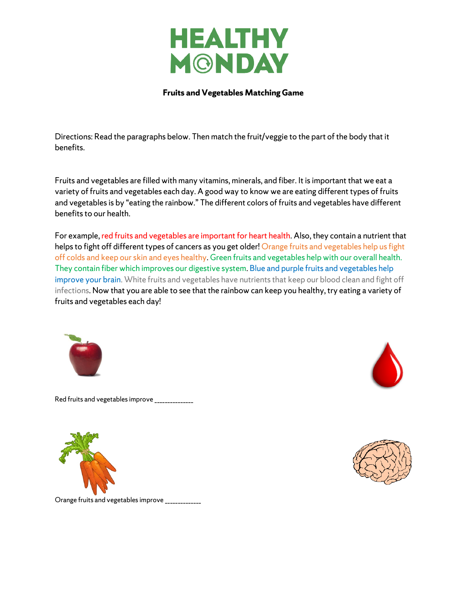

## **Fruits and Vegetables Matching Game**

Directions: Read the paragraphs below. Then match the fruit/veggie to the part of the body that it benefits.

Fruits and vegetables are filled with many vitamins, minerals, and fiber. It is important that we eat a variety of fruits and vegetables each day. A good way to know we are eating different types of fruits and vegetables is by "eating the rainbow." The different colors of fruits and vegetables have different benefits to our health.

For example, red fruits and vegetables are important for heart health. Also, they contain a nutrient that helps to fight off different types of cancers as you get older! Orange fruits and vegetables help us fight off colds and keep our skin and eyes healthy. Green fruits and vegetables help with our overall health. They contain fiber which improves our digestive system. Blue and purple fruits and vegetables help improve your brain. White fruits and vegetables have nutrients that keep our blood clean and fight off infections. Now that you are able to see that the rainbow can keep you healthy, try eating a variety of fruits and vegetables each day!



Red fruits and vegetables improve \_\_\_\_\_\_\_\_\_\_\_\_\_\_\_







Orange fruits and vegetables improve \_\_\_\_\_\_\_\_\_\_\_\_\_